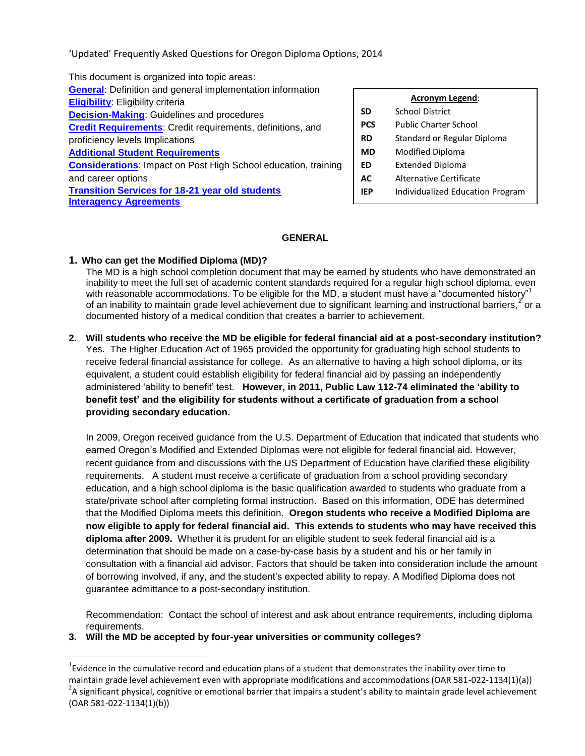'Updated' Frequently Asked Questions for Oregon Diploma Options, 2014

 **[Credit Requirements](#page-6-0)**: Credit requirements, definitions, and **PCS** Public Charter School **[Considerations](#page-10-0):** Impact on Post High School education, training | ED Extended Diploma **Transition Services for 18-21 year old students IFP** Individualized Education Program This document is organized into topic areas: **[General](#page-0-0)**: Definition and general implementation information **Eligibility**: Eligibility criteria **Acronym Legend**:<br> **Acronym Legend**: **Acronym Legend**: **Acronym Legend**: **Acronym Legend**: **Acronym Legend**: **Acronym Legend**: **Acronym Legend**: **Acronym Legend**: **Acronym Legend**: **Acro Decision-Making**: Guidelines and procedures **SD** School District<br>Credit Requirements: Credit requirements, definitions, and **PCS** Public Charter School proficiency levels Implications **RD** Standard or Regular Diploma [Additional Student Requirements](#page-8-0) **Additional Student Requirements Additional Student Requirements Additional Student Requirements** and career options **AC** Alternative Certificate **[Interagency Agreements](#page-12-0)** 

- 
- 
- 
- 
- 
- 
- 

# **GENERAL**

# <span id="page-0-0"></span>**1. Who can get the Modified Diploma (MD)?**

 $\overline{a}$ 

 The MD is a high school completion document that may be earned by students who have demonstrated an of an inability to maintain grade level achievement due to significant learning and instructional barriers,<sup>2</sup> or a inability to meet the full set of academic content standards required for a regular high school diploma, even<br>with reasonable accommodations. To be eligible for the MD, a student must have a "documented history"<sup>1</sup> documented history of a medical condition that creates a barrier to achievement.

 receive federal financial assistance for college. As an alternative to having a high school diploma, or its administered 'ability to benefit' test. **However, in 2011, Public Law 112-74 eliminated the 'ability to 2. Will students who receive the MD be eligible for federal financial aid at a post-secondary institution?**  Yes. The Higher Education Act of 1965 provided the opportunity for graduating high school students to equivalent, a student could establish eligibility for federal financial aid by passing an independently **benefit test' and the eligibility for students without a certificate of graduation from a school providing secondary education.** 

 requirements. A student must receive a certificate of graduation from a school providing secondary state/private school after completing formal instruction. Based on this information, ODE has determined that the Modified Diploma meets this definition. **Oregon students who receive a Modified Diploma are now eligible to apply for federal financial aid. This extends to students who may have received this diploma after 2009.** Whether it is prudent for an eligible student to seek federal financial aid is a In 2009, Oregon received guidance from the U.S. Department of Education that indicated that students who earned Oregon's Modified and Extended Diplomas were not eligible for federal financial aid. However, recent guidance from and discussions with the US Department of Education have clarified these eligibility education, and a high school diploma is the basic qualification awarded to students who graduate from a determination that should be made on a case-by-case basis by a student and his or her family in consultation with a financial aid advisor. Factors that should be taken into consideration include the amount of borrowing involved, if any, and the student's expected ability to repay. A Modified Diploma does not guarantee admittance to a post-secondary institution.

Recommendation: Contact the school of interest and ask about entrance requirements, including diploma requirements.

# **3. Will the MD be accepted by four-year universities or community colleges?**

 $^{1}$ Evidence in the cumulative record and education plans of a student that demonstrates the inability over time to maintain grade level achievement even with appropriate modifications and accommodations (OAR 581-022-1134(1)(a))  $^2$ A significant physical, cognitive or emotional barrier that impairs a student's ability to maintain grade level achievement (OAR 581-022-1134(1)(b))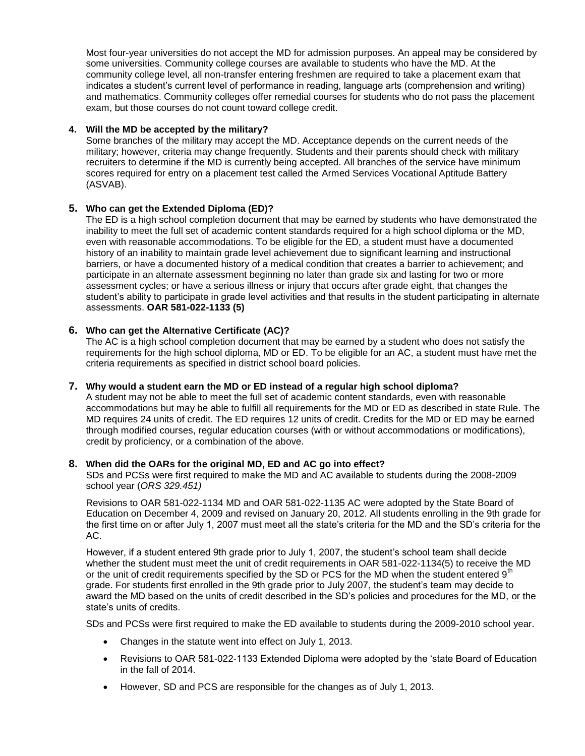exam, but those courses do not count toward college credit. Most four-year universities do not accept the MD for admission purposes. An appeal may be considered by some universities. Community college courses are available to students who have the MD. At the community college level, all non-transfer entering freshmen are required to take a placement exam that indicates a student's current level of performance in reading, language arts (comprehension and writing) and mathematics. Community colleges offer remedial courses for students who do not pass the placement

# **4. Will the MD be accepted by the military?**

 recruiters to determine if the MD is currently being accepted. All branches of the service have minimum Some branches of the military may accept the MD. Acceptance depends on the current needs of the military; however, criteria may change frequently. Students and their parents should check with military scores required for entry on a placement test called the Armed Services Vocational Aptitude Battery (ASVAB).

# **5. Who can get the Extended Diploma (ED)?**

 The ED is a high school completion document that may be earned by students who have demonstrated the history of an inability to maintain grade level achievement due to significant learning and instructional inability to meet the full set of academic content standards required for a high school diploma or the MD, even with reasonable accommodations. To be eligible for the ED, a student must have a documented barriers, or have a documented history of a medical condition that creates a barrier to achievement; and participate in an alternate assessment beginning no later than grade six and lasting for two or more assessment cycles; or have a serious illness or injury that occurs after grade eight, that changes the student's ability to participate in grade level activities and that results in the student participating in alternate assessments. **OAR 581-022-1133 (5)** 

# **6. Who can get the Alternative Certificate (AC)?**

 The AC is a high school completion document that may be earned by a student who does not satisfy the requirements for the high school diploma, MD or ED. To be eligible for an AC, a student must have met the criteria requirements as specified in district school board policies.

## **7. Why would a student earn the MD or ED instead of a regular high school diploma?**

 MD requires 24 units of credit. The ED requires 12 units of credit. Credits for the MD or ED may be earned A student may not be able to meet the full set of academic content standards, even with reasonable accommodations but may be able to fulfill all requirements for the MD or ED as described in state Rule. The through modified courses, regular education courses (with or without accommodations or modifications), credit by proficiency, or a combination of the above.

## **8. When did the OARs for the original MD, ED and AC go into effect?**

 SDs and PCSs were first required to make the MD and AC available to students during the 2008-2009 school year (*ORS 329.451)* 

Revisions to OAR 581-022-1134 MD and OAR 581-022-1135 AC were adopted by the State Board of Education on December 4, 2009 and revised on January 20, 2012. All students enrolling in the 9th grade for the first time on or after July 1, 2007 must meet all the state's criteria for the MD and the SD's criteria for the AC.

or the unit of credit requirements specified by the SD or PCS for the MD when the student entered  $9<sup>th</sup>$ award the MD based on the units of credit described in the SD's policies and procedures for the MD, <u>or</u> the chatal procedures for the MD, or the However, if a student entered 9th grade prior to July 1, 2007, the student's school team shall decide whether the student must meet the unit of credit requirements in OAR 581-022-1134(5) to receive the MD grade. For students first enrolled in the 9th grade prior to July 2007, the student's team may decide to state's units of credits.

SDs and PCSs were first required to make the ED available to students during the 2009-2010 school year.

- Changes in the statute went into effect on July 1, 2013.
- Revisions to OAR 581-022-1133 Extended Diploma were adopted by the 'state Board of Education in the fall of 2014.
- However, SD and PCS are responsible for the changes as of July 1, 2013.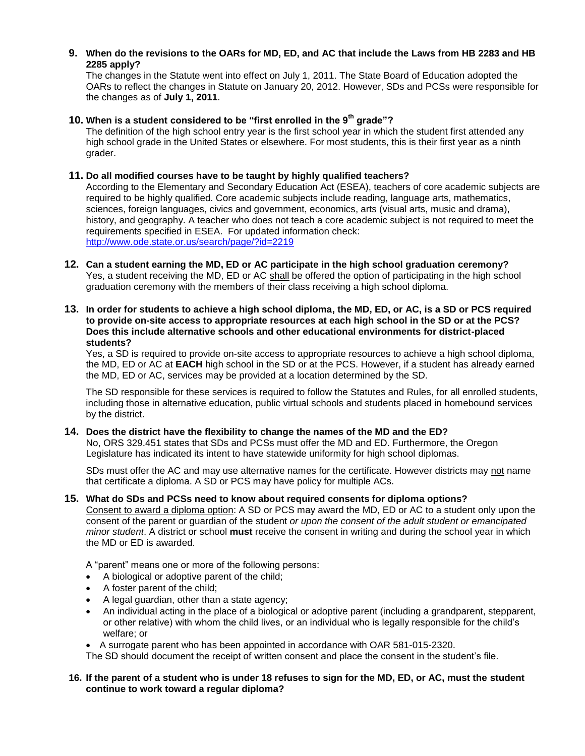# **9. When do the revisions to the OARs for MD, ED, and AC that include the Laws from HB 2283 and HB 2285 apply?**

 The changes in the Statute went into effect on July 1, 2011. The State Board of Education adopted the OARs to reflect the changes in Statute on January 20, 2012. However, SDs and PCSs were responsible for the changes as of **July 1, 2011**.

# **10. When is a student considered to be "first enrolled in the 9th grade"?**

 The definition of the high school entry year is the first school year in which the student first attended any high school grade in the United States or elsewhere. For most students, this is their first year as a ninth grader.

# **11. Do all modified courses have to be taught by highly qualified teachers?**

 According to the Elementary and Secondary Education Act (ESEA), teachers of core academic subjects are required to be highly qualified. Core academic subjects include reading, language arts, mathematics, sciences, foreign languages, civics and government, economics, arts (visual arts, music and drama), history, and geography. A teacher who does not teach a core academic subject is not required to meet the requirements specified in ESEA. For updated information check: <http://www.ode.state.or.us/search/page/?id=2219>

- Yes, a student receiving the MD, ED or AC shall be offered the option of participating in the high school graduation ceremony with the members of their class receiving a high school diploma. **12. Can a student earning the MD, ED or AC participate in the high school graduation ceremony?**
- **13. In order for students to achieve a high school diploma, the MD, ED, or AC, is a SD or PCS required to provide on-site access to appropriate resources at each high school in the SD or at the PCS? Does this include alternative schools and other educational environments for district-placed students?**

 Yes, a SD is required to provide on-site access to appropriate resources to achieve a high school diploma, the MD, ED or AC at **EACH** high school in the SD or at the PCS. However, if a student has already earned the MD, ED or AC, services may be provided at a location determined by the SD.

 by the district. The SD responsible for these services is required to follow the Statutes and Rules, for all enrolled students, including those in alternative education, public virtual schools and students placed in homebound services

## **14. Does the district have the flexibility to change the names of the MD and the ED?**

 Legislature has indicated its intent to have statewide uniformity for high school diplomas. No, ORS 329.451 states that SDs and PCSs must offer the MD and ED. Furthermore, the Oregon

SDs must offer the AC and may use alternative names for the certificate. However districts may not name that certificate a diploma. A SD or PCS may have policy for multiple ACs.

# **15. What do SDs and PCSs need to know about required consents for diploma options?**

Consent to award a diploma option: A SD or PCS may award the MD, ED or AC to a student only upon the *minor student*. A district or school **must** receive the consent in writing and during the school year in which the MD or ED is awarded. consent of the parent or guardian of the student *or upon the consent of the adult student or emancipated* 

A "parent" means one or more of the following persons:

- A biological or adoptive parent of the child;
- A foster parent of the child;
- A legal guardian, other than a state agency;
- An individual acting in the place of a biological or adoptive parent (including a grandparent, stepparent, or other relative) with whom the child lives, or an individual who is legally responsible for the child's welfare; or

A surrogate parent who has been appointed in accordance with OAR 581-015-2320.

The SD should document the receipt of written consent and place the consent in the student's file.

# **16. If the parent of a student who is under 18 refuses to sign for the MD, ED, or AC, must the student continue to work toward a regular diploma?**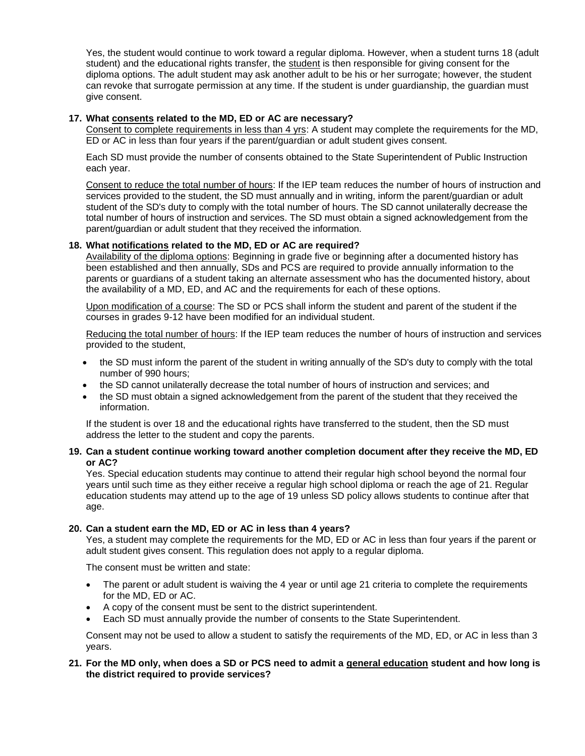student) and the educational rights transfer, the student is then responsible for giving consent for the Yes, the student would continue to work toward a regular diploma. However, when a student turns 18 (adult diploma options. The adult student may ask another adult to be his or her surrogate; however, the student can revoke that surrogate permission at any time. If the student is under guardianship, the guardian must give consent.

# **17. What consents related to the MD, ED or AC are necessary?**

Consent to complete requirements in less than 4 yrs: A student may complete the requirements for the MD, ED or AC in less than four years if the parent/guardian or adult student gives consent.

Each SD must provide the number of consents obtained to the State Superintendent of Public Instruction each year.

 student of the SD's duty to comply with the total number of hours. The SD cannot unilaterally decrease the total number of hours of instruction and services. The SD must obtain a signed acknowledgement from the Consent to reduce the total number of hours: If the IEP team reduces the number of hours of instruction and services provided to the student, the SD must annually and in writing, inform the parent/guardian or adult parent/guardian or adult student that they received the information.

# **18. What notifications related to the MD, ED or AC are required?**

 been established and then annually, SDs and PCS are required to provide annually information to the Availability of the diploma options: Beginning in grade five or beginning after a documented history has parents or guardians of a student taking an alternate assessment who has the documented history, about the availability of a MD, ED, and AC and the requirements for each of these options.

Upon modification of a course: The SD or PCS shall inform the student and parent of the student if the courses in grades 9-12 have been modified for an individual student.

Reducing the total number of hours: If the IEP team reduces the number of hours of instruction and services provided to the student,

- the SD must inform the parent of the student in writing annually of the SD's duty to comply with the total number of 990 hours;
- the SD cannot unilaterally decrease the total number of hours of instruction and services; and
- the SD must obtain a signed acknowledgement from the parent of the student that they received the information.

If the student is over 18 and the educational rights have transferred to the student, then the SD must address the letter to the student and copy the parents.

## **or AC? 19. Can a student continue working toward another completion document after they receive the MD, ED**

Yes. Special education students may continue to attend their regular high school beyond the normal four years until such time as they either receive a regular high school diploma or reach the age of 21. Regular education students may attend up to the age of 19 unless SD policy allows students to continue after that age.

## **20. Can a student earn the MD, ED or AC in less than 4 years?**

Yes, a student may complete the requirements for the MD, ED or AC in less than four years if the parent or adult student gives consent. This regulation does not apply to a regular diploma.

The consent must be written and state:

- The parent or adult student is waiving the 4 year or until age 21 criteria to complete the requirements for the MD, ED or AC.
- A copy of the consent must be sent to the district superintendent.
- Each SD must annually provide the number of consents to the State Superintendent.

Consent may not be used to allow a student to satisfy the requirements of the MD, ED, or AC in less than 3 years.

## **21. For the MD only, when does a SD or PCS need to admit a general education student and how long is the district required to provide services?**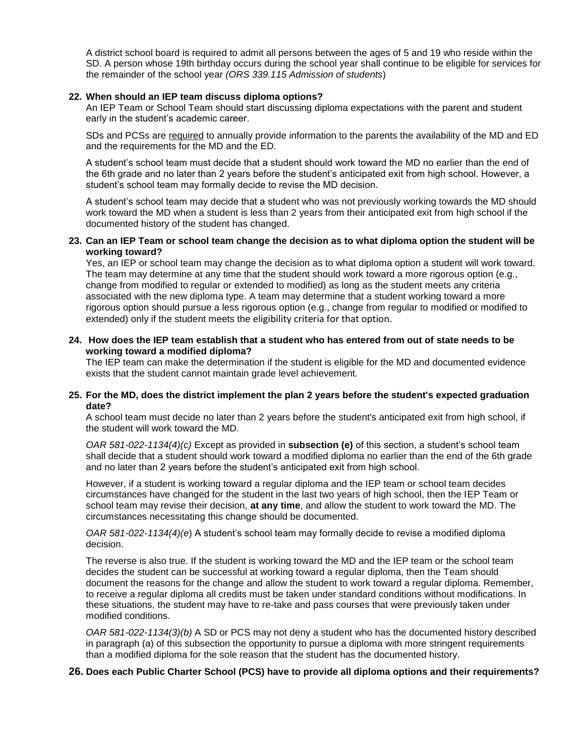A district school board is required to admit all persons between the ages of 5 and 19 who reside within the SD. A person whose 19th birthday occurs during the school year shall continue to be eligible for services for the remainder of the school year *(ORS 339.115 Admission of students*)

#### **22. When should an IEP team discuss diploma options?**

An IEP Team or School Team should start discussing diploma expectations with the parent and student early in the student's academic career.

SDs and PCSs are required to annually provide information to the parents the availability of the MD and ED and the requirements for the MD and the ED.

 the 6th grade and no later than 2 years before the student's anticipated exit from high school. However, a student's school team may formally decide to revise the MD decision. A student's school team must decide that a student should work toward the MD no earlier than the end of

 A student's school team may decide that a student who was not previously working towards the MD should work toward the MD when a student is less than 2 years from their anticipated exit from high school if the documented history of the student has changed.

## **23. Can an IEP Team or school team change the decision as to what diploma option the student will be working toward?**

 Yes, an IEP or school team may change the decision as to what diploma option a student will work toward. associated with the new diploma type. A team may determine that a student working toward a more The team may determine at any time that the student should work toward a more rigorous option (e.g., change from modified to regular or extended to modified) as long as the student meets any criteria rigorous option should pursue a less rigorous option (e.g., change from regular to modified or modified to extended) only if the student meets the eligibility criteria for that option.

#### **24. How does the IEP team establish that a student who has entered from out of state needs to be working toward a modified diploma?**

The IEP team can make the determination if the student is eligible for the MD and documented evidence exists that the student cannot maintain grade level achievement.

#### **25. For the MD, does the district implement the plan 2 years before the student's expected graduation date?**

 the student will work toward the MD. A school team must decide no later than 2 years before the student's anticipated exit from high school, if

 shall decide that a student should work toward a modified diploma no earlier than the end of the 6th grade *OAR 581-022-1134(4)(c)* Except as provided in **subsection (e)** of this section, a student's school team and no later than 2 years before the student's anticipated exit from high school.

 school team may revise their decision, **at any time**, and allow the student to work toward the MD. The However, if a student is working toward a regular diploma and the IEP team or school team decides circumstances have changed for the student in the last two years of high school, then the IEP Team or circumstances necessitating this change should be documented.

*OAR 581-022-1134(4)(e*) A student's school team may formally decide to revise a modified diploma decision.

 The reverse is also true. If the student is working toward the MD and the IEP team or the school team decides the student can be successful at working toward a regular diploma, then the Team should document the reasons for the change and allow the student to work toward a regular diploma. Remember, to receive a regular diploma all credits must be taken under standard conditions without modifications. In these situations, the student may have to re-take and pass courses that were previously taken under modified conditions.

 *OAR 581-022-1134(3)(b)* A SD or PCS may not deny a student who has the documented history described than a modified diploma for the sole reason that the student has the documented history. in paragraph (a) of this subsection the opportunity to pursue a diploma with more stringent requirements

# **26. Does each Public Charter School (PCS) have to provide all diploma options and their requirements?**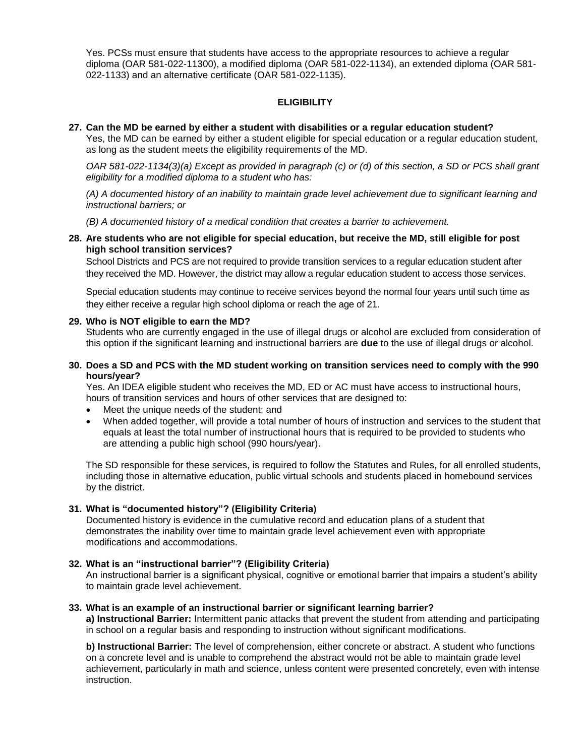022-1133) and an alternative certificate (OAR 581-022-1135). Yes. PCSs must ensure that students have access to the appropriate resources to achieve a regular diploma (OAR 581-022-11300), a modified diploma (OAR 581-022-1134), an extended diploma (OAR 581-

# **ELIGIBILITY**

#### **27. Can the MD be earned by either a student with disabilities or a regular education student?**

Yes, the MD can be earned by either a student eligible for special education or a regular education student, as long as the student meets the eligibility requirements of the MD.

*OAR 581-022-1134(3)(a) Except as provided in paragraph (c) or (d) of this section, a SD or PCS shall grant eligibility for a modified diploma to a student who has:* 

*(A) A documented history of an inability to maintain grade level achievement due to significant learning and instructional barriers; or* 

*(B) A documented history of a medical condition that creates a barrier to achievement.* 

## **28. Are students who are not eligible for special education, but receive the MD, still eligible for post high school transition services?**

 they received the MD. However, the district may allow a regular education student to access those services. School Districts and PCS are not required to provide transition services to a regular education student after

 they either receive a regular high school diploma or reach the age of 21. Special education students may continue to receive services beyond the normal four years until such time as

#### **29. Who is NOT eligible to earn the MD?**

 this option if the significant learning and instructional barriers are **due** to the use of illegal drugs or alcohol. Students who are currently engaged in the use of illegal drugs or alcohol are excluded from consideration of

#### **30. Does a SD and PCS with the MD student working on transition services need to comply with the 990 hours/year?**

Yes. An IDEA eligible student who receives the MD, ED or AC must have access to instructional hours, hours of transition services and hours of other services that are designed to:

- $\bullet$ Meet the unique needs of the student; and
- When added together, will provide a total number of hours of instruction and services to the student that equals at least the total number of instructional hours that is required to be provided to students who are attending a public high school (990 hours/year).

The SD responsible for these services, is required to follow the Statutes and Rules, for all enrolled students, including those in alternative education, public virtual schools and students placed in homebound services by the district.

## **31. What is "documented history"? (Eligibility Criteria)**

Documented history is evidence in the cumulative record and education plans of a student that demonstrates the inability over time to maintain grade level achievement even with appropriate modifications and accommodations.

## **32. What is an "instructional barrier"? (Eligibility Criteria)**

An instructional barrier is a significant physical, cognitive or emotional barrier that impairs a student's ability to maintain grade level achievement.

#### **33. What is an example of an instructional barrier or significant learning barrier?**

**a) Instructional Barrier:** Intermittent panic attacks that prevent the student from attending and participating in school on a regular basis and responding to instruction without significant modifications.

 **b) Instructional Barrier:** The level of comprehension, either concrete or abstract. A student who functions achievement, particularly in math and science, unless content were presented concretely, even with intense on a concrete level and is unable to comprehend the abstract would not be able to maintain grade level instruction.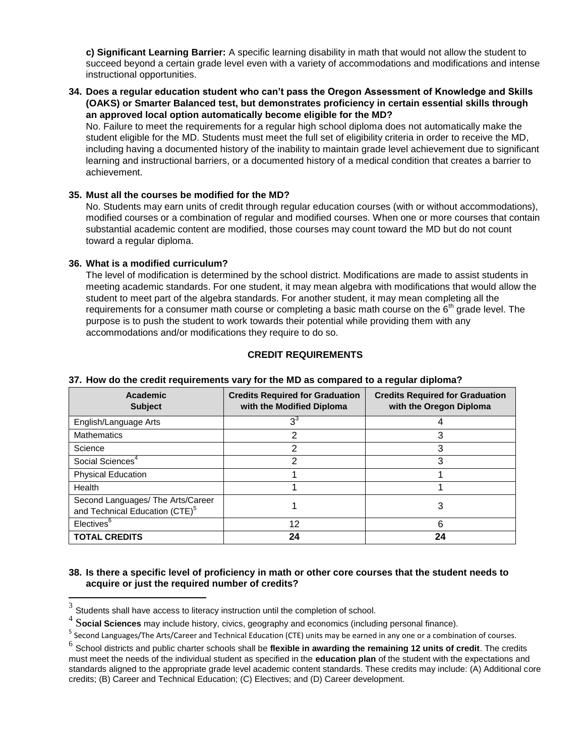succeed beyond a certain grade level even with a variety of accommodations and modifications and intense **c) Significant Learning Barrier:** A specific learning disability in math that would not allow the student to instructional opportunities.

**34. Does a regular education student who can't pass the Oregon Assessment of Knowledge and Skills (OAKS) or Smarter Balanced test, but demonstrates proficiency in certain essential skills through an approved local option automatically become eligible for the MD?** 

No. Failure to meet the requirements for a regular high school diploma does not automatically make the student eligible for the MD. Students must meet the full set of eligibility criteria in order to receive the MD, including having a documented history of the inability to maintain grade level achievement due to significant learning and instructional barriers, or a documented history of a medical condition that creates a barrier to achievement.

## **35. Must all the courses be modified for the MD?**

No. Students may earn units of credit through regular education courses (with or without accommodations), modified courses or a combination of regular and modified courses. When one or more courses that contain substantial academic content are modified, those courses may count toward the MD but do not count toward a regular diploma.

#### **36. What is a modified curriculum?**

 The level of modification is determined by the school district. Modifications are made to assist students in requirements for a consumer math course or completing a basic math course on the  $6<sup>th</sup>$  grade level. The meeting academic standards. For one student, it may mean algebra with modifications that would allow the student to meet part of the algebra standards. For another student, it may mean completing all the purpose is to push the student to work towards their potential while providing them with any accommodations and/or modifications they require to do so.

# **CREDIT REQUIREMENTS**

| Academic<br><b>Subject</b>                                                      | <b>Credits Required for Graduation</b><br>with the Modified Diploma | <b>Credits Required for Graduation</b><br>with the Oregon Diploma |
|---------------------------------------------------------------------------------|---------------------------------------------------------------------|-------------------------------------------------------------------|
| English/Language Arts                                                           | $3^3$                                                               |                                                                   |
| <b>Mathematics</b>                                                              | 2                                                                   | 3                                                                 |
| Science                                                                         | 2                                                                   | 3                                                                 |
| Social Sciences <sup>4</sup>                                                    | 2                                                                   | 3                                                                 |
| <b>Physical Education</b>                                                       |                                                                     |                                                                   |
| Health                                                                          |                                                                     |                                                                   |
| Second Languages/ The Arts/Career<br>and Technical Education (CTE) <sup>5</sup> |                                                                     | 3                                                                 |
| Electives <sup>6</sup>                                                          | 12                                                                  | 6                                                                 |
| <b>TOTAL CREDITS</b>                                                            | 24                                                                  | 24                                                                |

# <span id="page-6-0"></span>**37. How do the credit requirements vary for the MD as compared to a regular diploma?**

## **38. Is there a specific level of proficiency in math or other core courses that the student needs to acquire or just the required number of credits?**

<sup>3</sup> Students shall have access to literacy instruction until the completion of school.

<sup>4</sup> S**ocial Sciences** may include history, civics, geography and economics (including personal finance).

<sup>5</sup> Second Languages/The Arts/Career and Technical Education (CTE) units may be earned in any one or a combination of courses.

 standards aligned to the appropriate grade level academic content standards. These credits may include: (A) Additional core credits; (B) Career and Technical Education; (C) Electives; and (D) Career development. <sup>6</sup> School districts and public charter schools shall be flexible in awarding the remaining 12 units of credit. The credits must meet the needs of the individual student as specified in the **education plan** of the student with the expectations and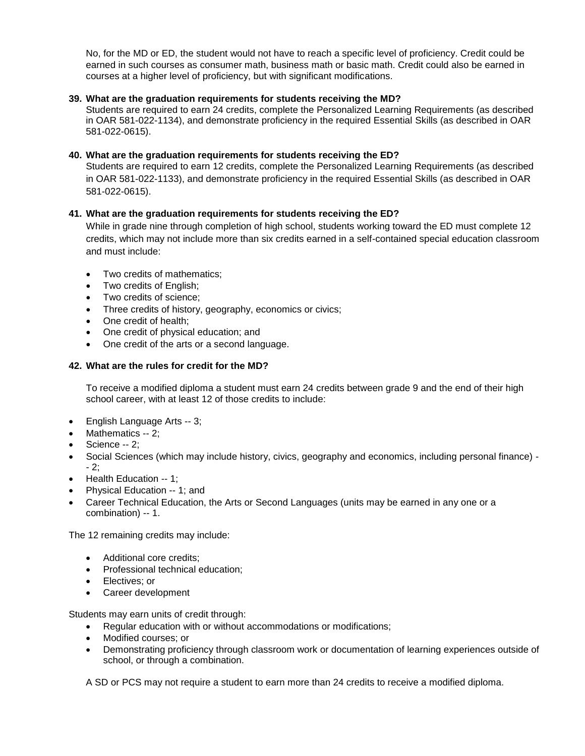No, for the MD or ED, the student would not have to reach a specific level of proficiency. Credit could be earned in such courses as consumer math, business math or basic math. Credit could also be earned in courses at a higher level of proficiency, but with significant modifications.

# **39. What are the graduation requirements for students receiving the MD?**

 in OAR 581-022-1134), and demonstrate proficiency in the required Essential Skills (as described in OAR Students are required to earn 24 credits, complete the Personalized Learning Requirements (as described 581-022-0615).

## **40. What are the graduation requirements for students receiving the ED?**

 Students are required to earn 12 credits, complete the Personalized Learning Requirements (as described in OAR 581-022-1133), and demonstrate proficiency in the required Essential Skills (as described in OAR 581-022-0615).

# **41. What are the graduation requirements for students receiving the ED?**

While in grade nine through completion of high school, students working toward the ED must complete 12 credits, which may not include more than six credits earned in a self-contained special education classroom and must include:

- Two credits of mathematics;
- Two credits of English;
- Two credits of science;
- Three credits of history, geography, economics or civics;
- One credit of health;
- One credit of physical education; and
- One credit of the arts or a second language.

## **42. What are the rules for credit for the MD?**

To receive a modified diploma a student must earn 24 credits between grade 9 and the end of their high school career, with at least 12 of those credits to include:

- English Language Arts -- 3;
- Mathematics -- 2;
- Science -- 2;
- - 2; Social Sciences (which may include history, civics, geography and economics, including personal finance) -
- Health Education -- 1;
- Physical Education -- 1; and
- combination) -- 1. Career Technical Education, the Arts or Second Languages (units may be earned in any one or a

The 12 remaining credits may include:

- Additional core credits:
- Professional technical education:
- Electives; or
- Career development

Students may earn units of credit through:

- Regular education with or without accommodations or modifications;
- Modified courses: or
- Demonstrating proficiency through classroom work or documentation of learning experiences outside of school, or through a combination.

A SD or PCS may not require a student to earn more than 24 credits to receive a modified diploma.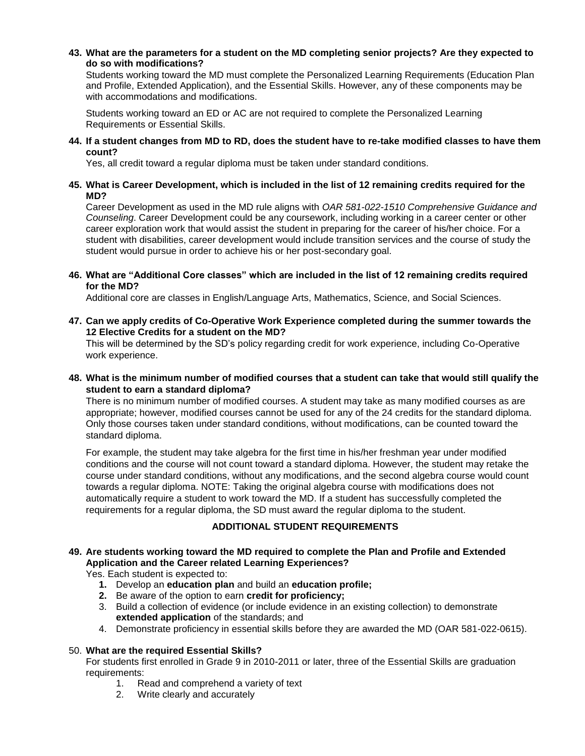## **43. What are the parameters for a student on the MD completing senior projects? Are they expected to do so with modifications?**

Students working toward the MD must complete the Personalized Learning Requirements (Education Plan and Profile, Extended Application), and the Essential Skills. However, any of these components may be with accommodations and modifications.

 Students working toward an ED or AC are not required to complete the Personalized Learning Requirements or Essential Skills.

**44. If a student changes from MD to RD, does the student have to re-take modified classes to have them count?** 

Yes, all credit toward a regular diploma must be taken under standard conditions.

## **45. What is Career Development, which is included in the list of 12 remaining credits required for the MD?**

 student with disabilities, career development would include transition services and the course of study the student would pursue in order to achieve his or her post-secondary goal. Career Development as used in the MD rule aligns with *OAR 581-022-1510 Comprehensive Guidance and Counseling*. Career Development could be any coursework, including working in a career center or other career exploration work that would assist the student in preparing for the career of his/her choice. For a

#### **46. What are "Additional Core classes" which are included in the list of 12 remaining credits required for the MD?**

Additional core are classes in English/Language Arts, Mathematics, Science, and Social Sciences.

**47. Can we apply credits of Co-Operative Work Experience completed during the summer towards the 12 Elective Credits for a student on the MD?** 

 This will be determined by the SD's policy regarding credit for work experience, including Co-Operative work experience.

## **48. What is the minimum number of modified courses that a student can take that would still qualify the student to earn a standard diploma?**

There is no minimum number of modified courses. A student may take as many modified courses as are appropriate; however, modified courses cannot be used for any of the 24 credits for the standard diploma. Only those courses taken under standard conditions, without modifications, can be counted toward the standard diploma.

For example, the student may take algebra for the first time in his/her freshman year under modified conditions and the course will not count toward a standard diploma. However, the student may retake the course under standard conditions, without any modifications, and the second algebra course would count towards a regular diploma. NOTE: Taking the original algebra course with modifications does not automatically require a student to work toward the MD. If a student has successfully completed the requirements for a regular diploma, the SD must award the regular diploma to the student.

# **ADDITIONAL STUDENT REQUIREMENTS**

# <span id="page-8-0"></span>**49. Are students working toward the MD required to complete the Plan and Profile and Extended Application and the Career related Learning Experiences?**

Yes. Each student is expected to:

- **1.** Develop an **education plan** and build an **education profile;**
- **2.** Be aware of the option to earn **credit for proficiency;**
- 3. Build a collection of evidence (or include evidence in an existing collection) to demonstrate **extended application** of the standards; and
- 4. Demonstrate proficiency in essential skills before they are awarded the MD (OAR 581-022-0615).

## 50. **What are the required Essential Skills?**

For students first enrolled in Grade 9 in 2010-2011 or later, three of the Essential Skills are graduation requirements:

- 1. Read and comprehend a variety of text
- 2. Write clearly and accurately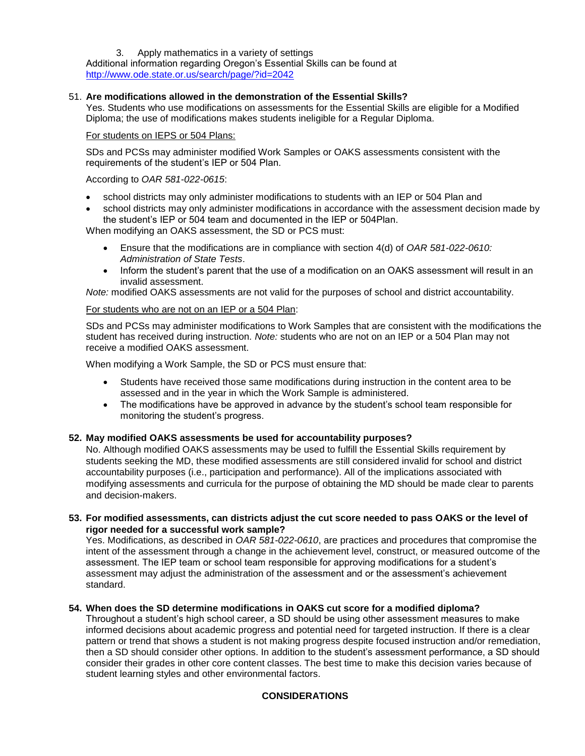# 3. Apply mathematics in a variety of settings

 Additional information regarding Oregon's Essential Skills can be found at http://www.ode.state.or.us/search/page/?id=2042

# <http://www.ode.state.or.us/search/page/?id=2042>51. **Are modifications allowed in the demonstration of the Essential Skills?**

Yes. Students who use modifications on assessments for the Essential Skills are eligible for a Modified Diploma; the use of modifications makes students ineligible for a Regular Diploma.

## For students on IEPS or 504 Plans:

SDs and PCSs may administer modified Work Samples or OAKS assessments consistent with the requirements of the student's IEP or 504 Plan.

## According to *OAR 581-022-0615*:

- school districts may only administer modifications to students with an IEP or 504 Plan and
- school districts may only administer modifications in accordance with the assessment decision made by the student's IEP or 504 team and documented in the IEP or 504Plan.

When modifying an OAKS assessment, the SD or PCS must:

- Ensure that the modifications are in compliance with section 4(d) of *OAR 581-022-0610: Administration of State Tests*.
- Inform the student's parent that the use of a modification on an OAKS assessment will result in an invalid assessment.

*Note:* modified OAKS assessments are not valid for the purposes of school and district accountability.

# For students who are not on an IEP or a 504 Plan:

 SDs and PCSs may administer modifications to Work Samples that are consistent with the modifications the student has received during instruction. *Note:* students who are not on an IEP or a 504 Plan may not receive a modified OAKS assessment.

When modifying a Work Sample, the SD or PCS must ensure that:

- Students have received those same modifications during instruction in the content area to be assessed and in the year in which the Work Sample is administered.
- The modifications have be approved in advance by the student's school team responsible for monitoring the student's progress.

## **52. May modified OAKS assessments be used for accountability purposes?**

 No. Although modified OAKS assessments may be used to fulfill the Essential Skills requirement by modifying assessments and curricula for the purpose of obtaining the MD should be made clear to parents students seeking the MD, these modified assessments are still considered invalid for school and district accountability purposes (i.e., participation and performance). All of the implications associated with and decision-makers.

# **53. For modified assessments, can districts adjust the cut score needed to pass OAKS or the level of rigor needed for a successful work sample?**

 standard. Yes. Modifications, as described in *OAR 581-022-0610*, are practices and procedures that compromise the intent of the assessment through a change in the achievement level, construct, or measured outcome of the assessment. The IEP team or school team responsible for approving modifications for a student's assessment may adjust the administration of the assessment and or the assessment's achievement

## **54. When does the SD determine modifications in OAKS cut score for a modified diploma?**

Throughout a student's high school career, a SD should be using other assessment measures to make informed decisions about academic progress and potential need for targeted instruction. If there is a clear pattern or trend that shows a student is not making progress despite focused instruction and/or remediation, then a SD should consider other options. In addition to the student's assessment performance, a SD should consider their grades in other core content classes. The best time to make this decision varies because of student learning styles and other environmental factors.

# **CONSIDERATIONS**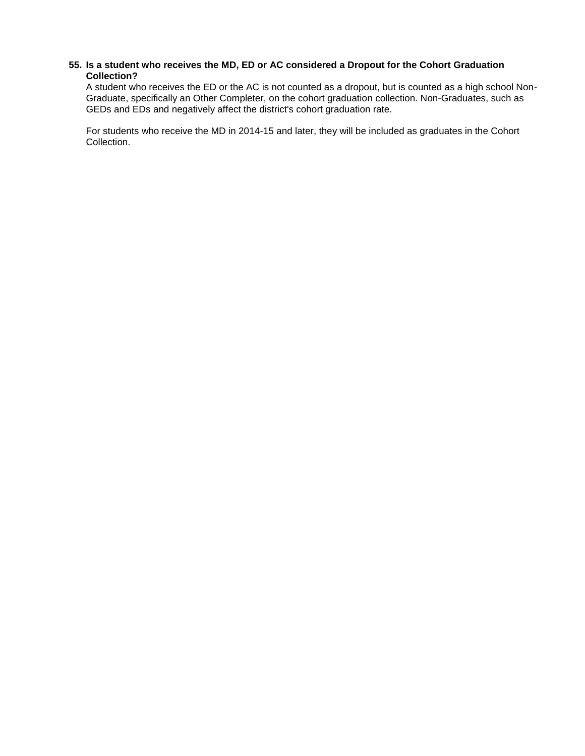## **55. Is a student who receives the MD, ED or AC considered a Dropout for the Cohort Graduation Collection?**

A student who receives the ED or the AC is not counted as a dropout, but is counted as a high school Non-Graduate, specifically an Other Completer, on the cohort graduation collection. Non-Graduates, such as GEDs and EDs and negatively affect the district's cohort graduation rate.

<span id="page-10-0"></span>For students who receive the MD in 2014-15 and later, they will be included as graduates in the Cohort Collection.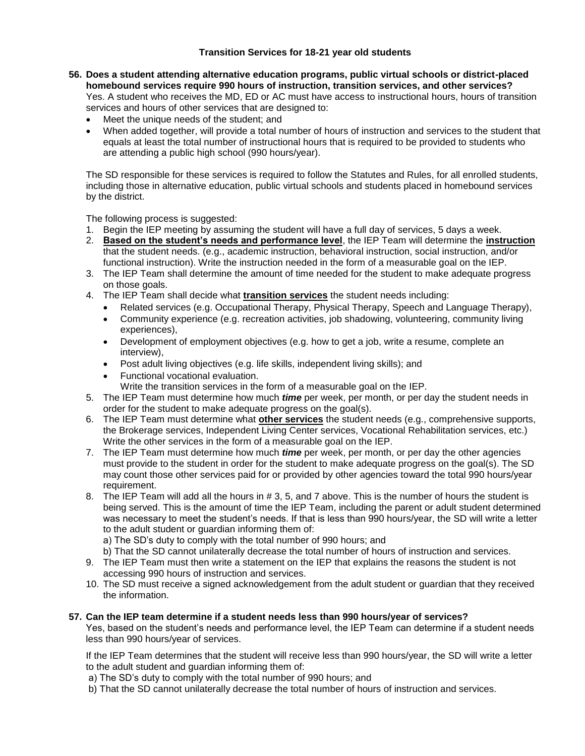# **Transition Services for 18-21 year old students**

- services and hours of other services that are designed to: **56. Does a student attending alternative education programs, public virtual schools or district-placed homebound services require 990 hours of instruction, transition services, and other services?**  Yes. A student who receives the MD, ED or AC must have access to instructional hours, hours of transition
	- Meet the unique needs of the student; and
	- When added together, will provide a total number of hours of instruction and services to the student that equals at least the total number of instructional hours that is required to be provided to students who are attending a public high school (990 hours/year).

The SD responsible for these services is required to follow the Statutes and Rules, for all enrolled students, including those in alternative education, public virtual schools and students placed in homebound services by the district.

The following process is suggested:

- 1. Begin the IEP meeting by assuming the student will have a full day of services, 5 days a week.
- 2. **Based on the student's needs and performance level**, the IEP Team will determine the **instruction**  that the student needs. (e.g., academic instruction, behavioral instruction, social instruction, and/or functional instruction). Write the instruction needed in the form of a measurable goal on the IEP.
- 3. The IEP Team shall determine the amount of time needed for the student to make adequate progress on those goals.
- 4. The IEP Team shall decide what **transition services** the student needs including:
	- Related services (e.g. Occupational Therapy, Physical Therapy, Speech and Language Therapy),
	- Community experience (e.g. recreation activities, job shadowing, volunteering, community living experiences),
	- Development of employment objectives (e.g. how to get a job, write a resume, complete an interview),
	- Post adult living objectives (e.g. life skills, independent living skills); and
	- Functional vocational evaluation. Write the transition services in the form of a measurable goal on the IEP.
- 5. The IEP Team must determine how much *time* per week, per month, or per day the student needs in order for the student to make adequate progress on the goal(s).
- 6. The IEP Team must determine what **other services** the student needs (e.g., comprehensive supports, the Brokerage services, Independent Living Center services, Vocational Rehabilitation services, etc.) Write the other services in the form of a measurable goal on the IEP.
- 7. The IEP Team must determine how much *time* per week, per month, or per day the other agencies must provide to the student in order for the student to make adequate progress on the goal(s). The SD may count those other services paid for or provided by other agencies toward the total 990 hours/year requirement.
- 8. The IEP Team will add all the hours in # 3, 5, and 7 above. This is the number of hours the student is being served. This is the amount of time the IEP Team, including the parent or adult student determined was necessary to meet the student's needs. If that is less than 990 hours/year, the SD will write a letter to the adult student or guardian informing them of:

a) The SD's duty to comply with the total number of 990 hours; and

- b) That the SD cannot unilaterally decrease the total number of hours of instruction and services.
- 9. The IEP Team must then write a statement on the IEP that explains the reasons the student is not accessing 990 hours of instruction and services.
- 10. The SD must receive a signed acknowledgement from the adult student or guardian that they received the information.

# **57. Can the IEP team determine if a student needs less than 990 hours/year of services?**

Yes, based on the student's needs and performance level, the IEP Team can determine if a student needs less than 990 hours/year of services.

 If the IEP Team determines that the student will receive less than 990 hours/year, the SD will write a letter to the adult student and guardian informing them of:

- a) The SD's duty to comply with the total number of 990 hours; and
- b) That the SD cannot unilaterally decrease the total number of hours of instruction and services.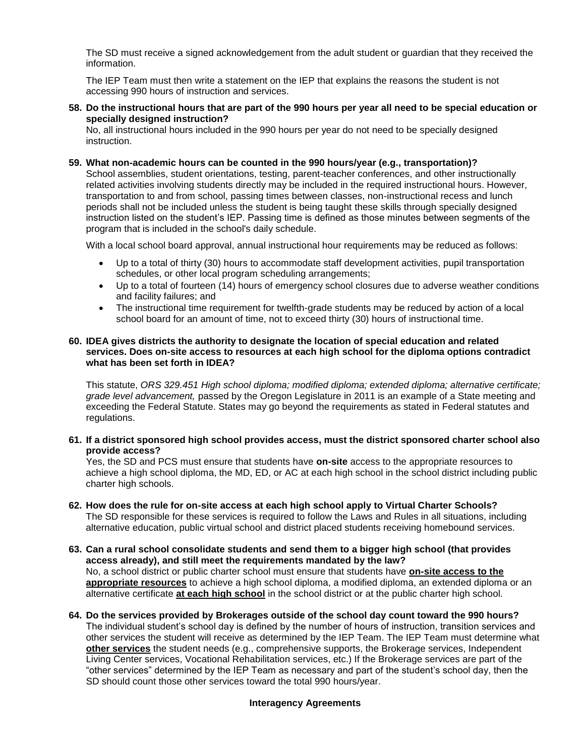The SD must receive a signed acknowledgement from the adult student or guardian that they received the information.

 The IEP Team must then write a statement on the IEP that explains the reasons the student is not accessing 990 hours of instruction and services.

**58. Do the instructional hours that are part of the 990 hours per year all need to be special education or specially designed instruction?** 

 No, all instructional hours included in the 990 hours per year do not need to be specially designed instruction.

#### **59. What non-academic hours can be counted in the 990 hours/year (e.g., transportation)?**

 related activities involving students directly may be included in the required instructional hours. However, School assemblies, student orientations, testing, parent-teacher conferences, and other instructionally transportation to and from school, passing times between classes, non-instructional recess and lunch periods shall not be included unless the student is being taught these skills through specially designed instruction listed on the student's IEP. Passing time is defined as those minutes between segments of the program that is included in the school's daily schedule.

With a local school board approval, annual instructional hour requirements may be reduced as follows:

- Up to a total of thirty (30) hours to accommodate staff development activities, pupil transportation schedules, or other local program scheduling arrangements;
- Up to a total of fourteen (14) hours of emergency school closures due to adverse weather conditions and facility failures; and
- The instructional time requirement for twelfth-grade students may be reduced by action of a local school board for an amount of time, not to exceed thirty (30) hours of instructional time.

## **60. IDEA gives districts the authority to designate the location of special education and related services. Does on-site access to resources at each high school for the diploma options contradict what has been set forth in IDEA?**

 exceeding the Federal Statute. States may go beyond the requirements as stated in Federal statutes and This statute, *ORS 329.451 High school diploma; modified diploma; extended diploma; alternative certificate; grade level advancement,* passed by the Oregon Legislature in 2011 is an example of a State meeting and regulations.

**61. If a district sponsored high school provides access, must the district sponsored charter school also provide access?** 

Yes, the SD and PCS must ensure that students have **on-site** access to the appropriate resources to achieve a high school diploma, the MD, ED, or AC at each high school in the school district including public charter high schools.

- **62. How does the rule for on-site access at each high school apply to Virtual Charter Schools?**  The SD responsible for these services is required to follow the Laws and Rules in all situations, including alternative education, public virtual school and district placed students receiving homebound services.
- **63. Can a rural school consolidate students and send them to a bigger high school (that provides access already), and still meet the requirements mandated by the law?**  No, a school district or public charter school must ensure that students have **on-site access to the appropriate resources** to achieve a high school diploma, a modified diploma, an extended diploma or an alternative certificate **at each high school** in the school district or at the public charter high school.
- <span id="page-12-0"></span> The individual student's school day is defined by the number of hours of instruction, transition services and other services the student will receive as determined by the IEP Team. The IEP Team must determine what SD should count those other services toward the total 990 hours/year. **64. Do the services provided by Brokerages outside of the school day count toward the 990 hours? other services** the student needs (e.g., comprehensive supports, the Brokerage services, Independent Living Center services, Vocational Rehabilitation services, etc.) If the Brokerage services are part of the "other services" determined by the IEP Team as necessary and part of the student's school day, then the

## **Interagency Agreements**